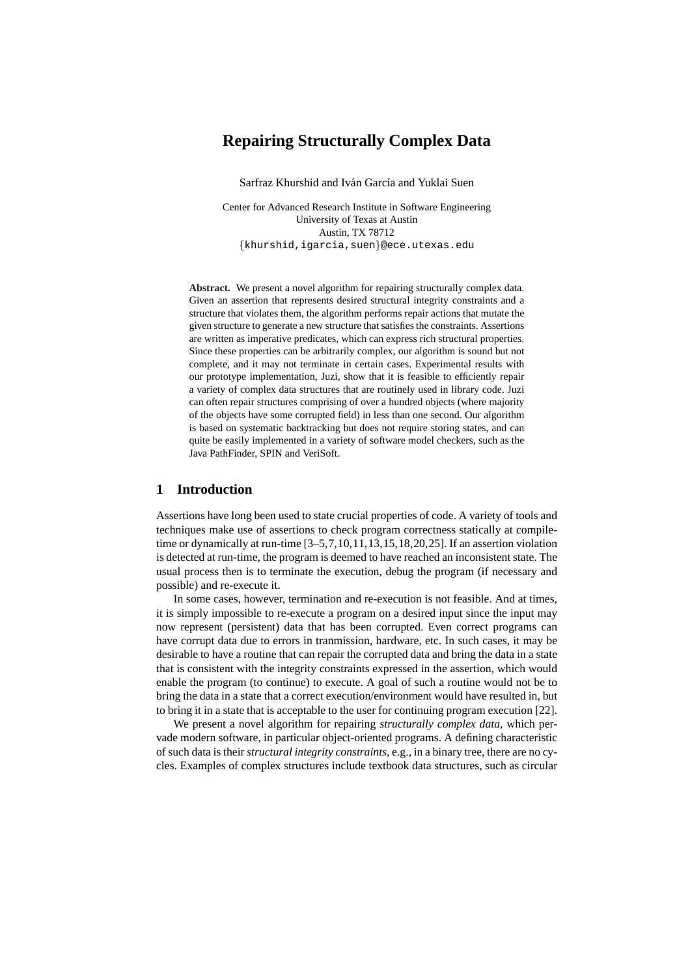# **Repairing Structurally Complex Data**

Sarfraz Khurshid and Iván García and Yuklai Suen

Center for Advanced Research Institute in Software Engineering University of Texas at Austin Austin, TX 78712 {khurshid,igarcia,suen}@ece.utexas.edu

**Abstract.** We present a novel algorithm for repairing structurally complex data. Given an assertion that represents desired structural integrity constraints and a structure that violates them, the algorithm performs repair actions that mutate the given structure to generate a new structure that satisfies the constraints. Assertions are written as imperative predicates, which can express rich structural properties. Since these properties can be arbitrarily complex, our algorithm is sound but not complete, and it may not terminate in certain cases. Experimental results with our prototype implementation, Juzi, show that it is feasible to efficiently repair a variety of complex data structures that are routinely used in library code. Juzi can often repair structures comprising of over a hundred objects (where majority of the objects have some corrupted field) in less than one second. Our algorithm is based on systematic backtracking but does not require storing states, and can quite be easily implemented in a variety of software model checkers, such as the Java PathFinder, SPIN and VeriSoft.

### **1 Introduction**

Assertions have long been used to state crucial properties of code. A variety of tools and techniques make use of assertions to check program correctness statically at compiletime or dynamically at run-time [3–5,7,10,11,13,15,18,20,25]. If an assertion violation is detected at run-time, the program is deemed to have reached an inconsistent state. The usual process then is to terminate the execution, debug the program (if necessary and possible) and re-execute it.

In some cases, however, termination and re-execution is not feasible. And at times, it is simply impossible to re-execute a program on a desired input since the input may now represent (persistent) data that has been corrupted. Even correct programs can have corrupt data due to errors in tranmission, hardware, etc. In such cases, it may be desirable to have a routine that can repair the corrupted data and bring the data in a state that is consistent with the integrity constraints expressed in the assertion, which would enable the program (to continue) to execute. A goal of such a routine would not be to bring the data in a state that a correct execution/environment would have resulted in, but to bring it in a state that is acceptable to the user for continuing program execution [22].

We present a novel algorithm for repairing *structurally complex data*, which pervade modern software, in particular object-oriented programs. A defining characteristic of such data is their *structural integrity constraints*, e.g., in a binary tree, there are no cycles. Examples of complex structures include textbook data structures, such as circular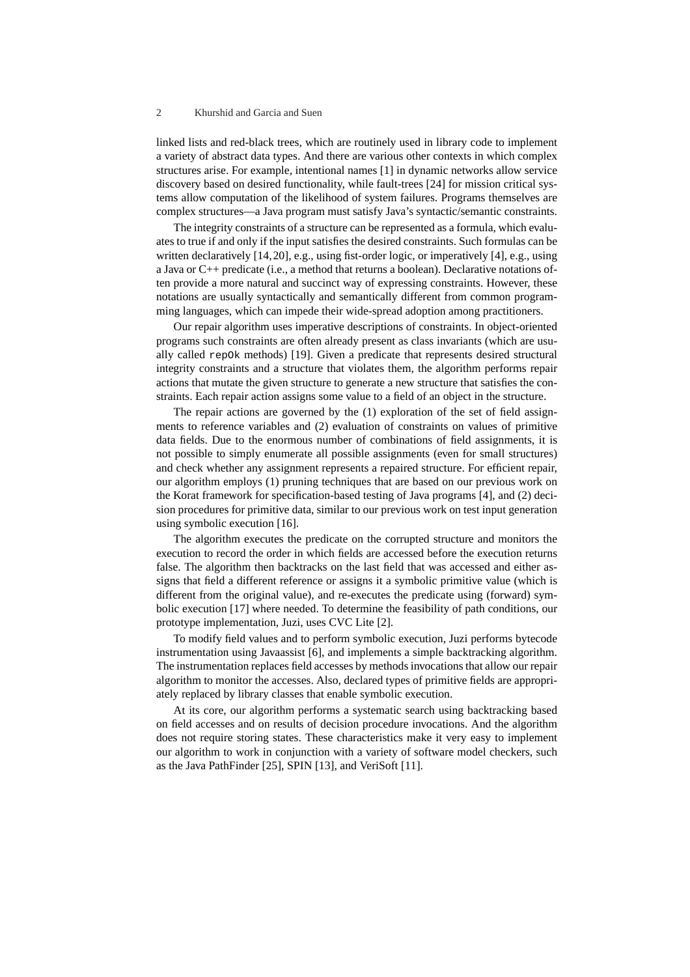linked lists and red-black trees, which are routinely used in library code to implement a variety of abstract data types. And there are various other contexts in which complex structures arise. For example, intentional names [1] in dynamic networks allow service discovery based on desired functionality, while fault-trees [24] for mission critical systems allow computation of the likelihood of system failures. Programs themselves are complex structures—a Java program must satisfy Java's syntactic/semantic constraints.

The integrity constraints of a structure can be represented as a formula, which evaluates to true if and only if the input satisfies the desired constraints. Such formulas can be written declaratively [14,20], e.g., using fist-order logic, or imperatively [4], e.g., using a Java or C++ predicate (i.e., a method that returns a boolean). Declarative notations often provide a more natural and succinct way of expressing constraints. However, these notations are usually syntactically and semantically different from common programming languages, which can impede their wide-spread adoption among practitioners.

Our repair algorithm uses imperative descriptions of constraints. In object-oriented programs such constraints are often already present as class invariants (which are usually called repOk methods) [19]. Given a predicate that represents desired structural integrity constraints and a structure that violates them, the algorithm performs repair actions that mutate the given structure to generate a new structure that satisfies the constraints. Each repair action assigns some value to a field of an object in the structure.

The repair actions are governed by the (1) exploration of the set of field assignments to reference variables and (2) evaluation of constraints on values of primitive data fields. Due to the enormous number of combinations of field assignments, it is not possible to simply enumerate all possible assignments (even for small structures) and check whether any assignment represents a repaired structure. For efficient repair, our algorithm employs (1) pruning techniques that are based on our previous work on the Korat framework for specification-based testing of Java programs [4], and (2) decision procedures for primitive data, similar to our previous work on test input generation using symbolic execution [16].

The algorithm executes the predicate on the corrupted structure and monitors the execution to record the order in which fields are accessed before the execution returns false. The algorithm then backtracks on the last field that was accessed and either assigns that field a different reference or assigns it a symbolic primitive value (which is different from the original value), and re-executes the predicate using (forward) symbolic execution [17] where needed. To determine the feasibility of path conditions, our prototype implementation, Juzi, uses CVC Lite [2].

To modify field values and to perform symbolic execution, Juzi performs bytecode instrumentation using Javaassist [6], and implements a simple backtracking algorithm. The instrumentation replaces field accesses by methods invocations that allow our repair algorithm to monitor the accesses. Also, declared types of primitive fields are appropriately replaced by library classes that enable symbolic execution.

At its core, our algorithm performs a systematic search using backtracking based on field accesses and on results of decision procedure invocations. And the algorithm does not require storing states. These characteristics make it very easy to implement our algorithm to work in conjunction with a variety of software model checkers, such as the Java PathFinder [25], SPIN [13], and VeriSoft [11].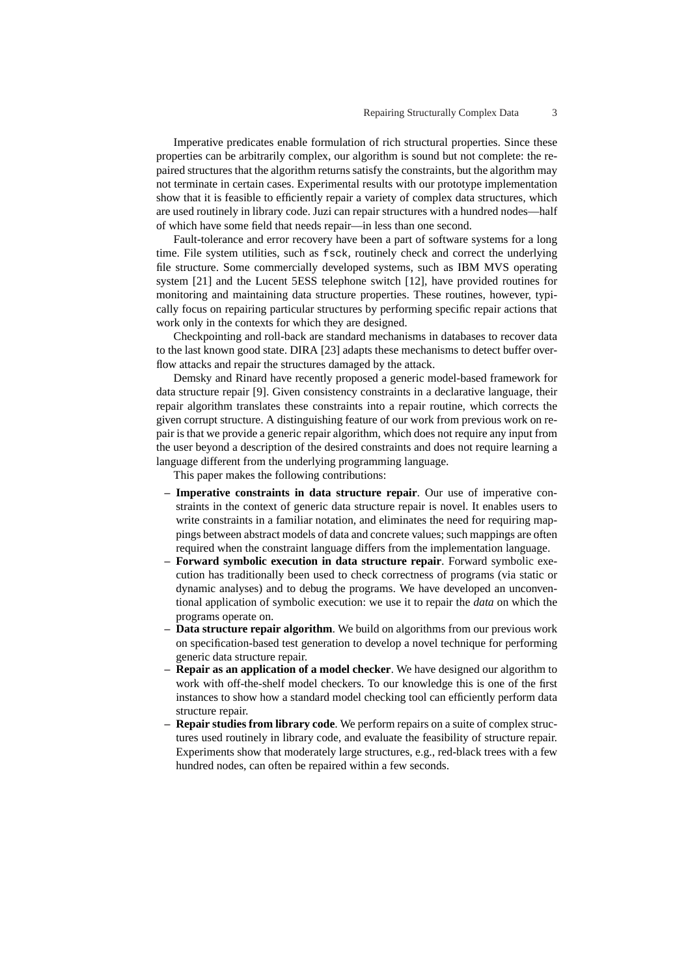Imperative predicates enable formulation of rich structural properties. Since these properties can be arbitrarily complex, our algorithm is sound but not complete: the repaired structures that the algorithm returns satisfy the constraints, but the algorithm may not terminate in certain cases. Experimental results with our prototype implementation show that it is feasible to efficiently repair a variety of complex data structures, which are used routinely in library code. Juzi can repair structures with a hundred nodes—half of which have some field that needs repair—in less than one second.

Fault-tolerance and error recovery have been a part of software systems for a long time. File system utilities, such as fsck, routinely check and correct the underlying file structure. Some commercially developed systems, such as IBM MVS operating system [21] and the Lucent 5ESS telephone switch [12], have provided routines for monitoring and maintaining data structure properties. These routines, however, typically focus on repairing particular structures by performing specific repair actions that work only in the contexts for which they are designed.

Checkpointing and roll-back are standard mechanisms in databases to recover data to the last known good state. DIRA [23] adapts these mechanisms to detect buffer overflow attacks and repair the structures damaged by the attack.

Demsky and Rinard have recently proposed a generic model-based framework for data structure repair [9]. Given consistency constraints in a declarative language, their repair algorithm translates these constraints into a repair routine, which corrects the given corrupt structure. A distinguishing feature of our work from previous work on repair is that we provide a generic repair algorithm, which does not require any input from the user beyond a description of the desired constraints and does not require learning a language different from the underlying programming language.

This paper makes the following contributions:

- **– Imperative constraints in data structure repair**. Our use of imperative constraints in the context of generic data structure repair is novel. It enables users to write constraints in a familiar notation, and eliminates the need for requiring mappings between abstract models of data and concrete values; such mappings are often required when the constraint language differs from the implementation language.
- **– Forward symbolic execution in data structure repair**. Forward symbolic execution has traditionally been used to check correctness of programs (via static or dynamic analyses) and to debug the programs. We have developed an unconventional application of symbolic execution: we use it to repair the *data* on which the programs operate on.
- **– Data structure repair algorithm**. We build on algorithms from our previous work on specification-based test generation to develop a novel technique for performing generic data structure repair.
- **– Repair as an application of a model checker**. We have designed our algorithm to work with off-the-shelf model checkers. To our knowledge this is one of the first instances to show how a standard model checking tool can efficiently perform data structure repair.
- **– Repair studies from library code**. We perform repairs on a suite of complex structures used routinely in library code, and evaluate the feasibility of structure repair. Experiments show that moderately large structures, e.g., red-black trees with a few hundred nodes, can often be repaired within a few seconds.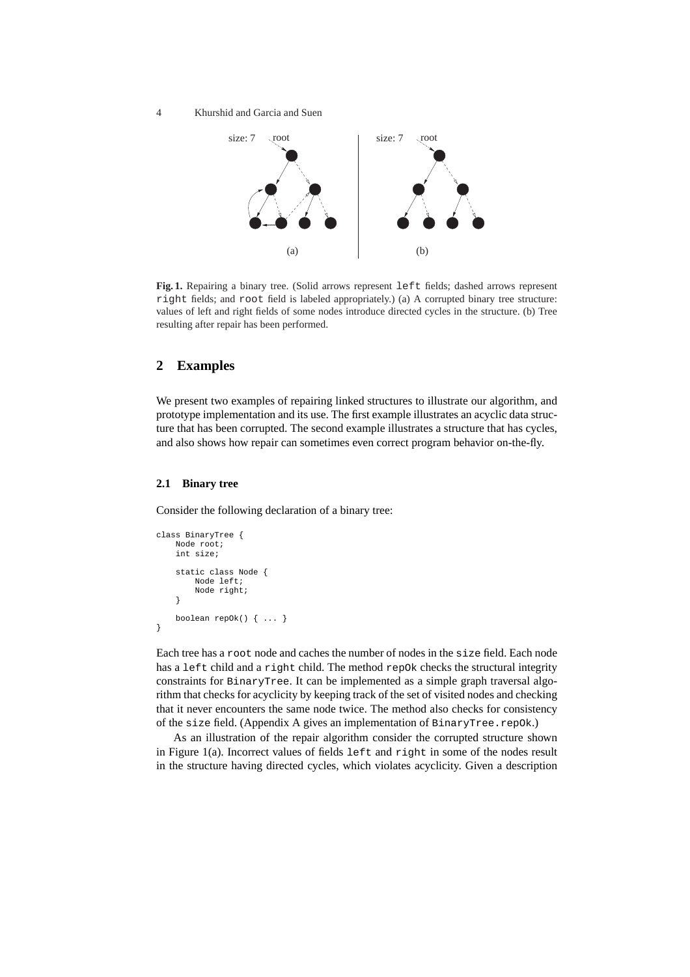4 Khurshid and Garcia and Suen



**Fig. 1.** Repairing a binary tree. (Solid arrows represent left fields; dashed arrows represent right fields; and root field is labeled appropriately.) (a) A corrupted binary tree structure: values of left and right fields of some nodes introduce directed cycles in the structure. (b) Tree resulting after repair has been performed.

# **2 Examples**

We present two examples of repairing linked structures to illustrate our algorithm, and prototype implementation and its use. The first example illustrates an acyclic data structure that has been corrupted. The second example illustrates a structure that has cycles, and also shows how repair can sometimes even correct program behavior on-the-fly.

### **2.1 Binary tree**

Consider the following declaration of a binary tree:

```
class BinaryTree {
   Node root;
    int size;
    static class Node {
        Node left;
        Node right;
    }
    boolean repOk() { ... }
}
```
Each tree has a root node and caches the number of nodes in the size field. Each node has a left child and a right child. The method repok checks the structural integrity constraints for BinaryTree. It can be implemented as a simple graph traversal algorithm that checks for acyclicity by keeping track of the set of visited nodes and checking that it never encounters the same node twice. The method also checks for consistency of the size field. (Appendix A gives an implementation of BinaryTree.repOk.)

As an illustration of the repair algorithm consider the corrupted structure shown in Figure 1(a). Incorrect values of fields left and right in some of the nodes result in the structure having directed cycles, which violates acyclicity. Given a description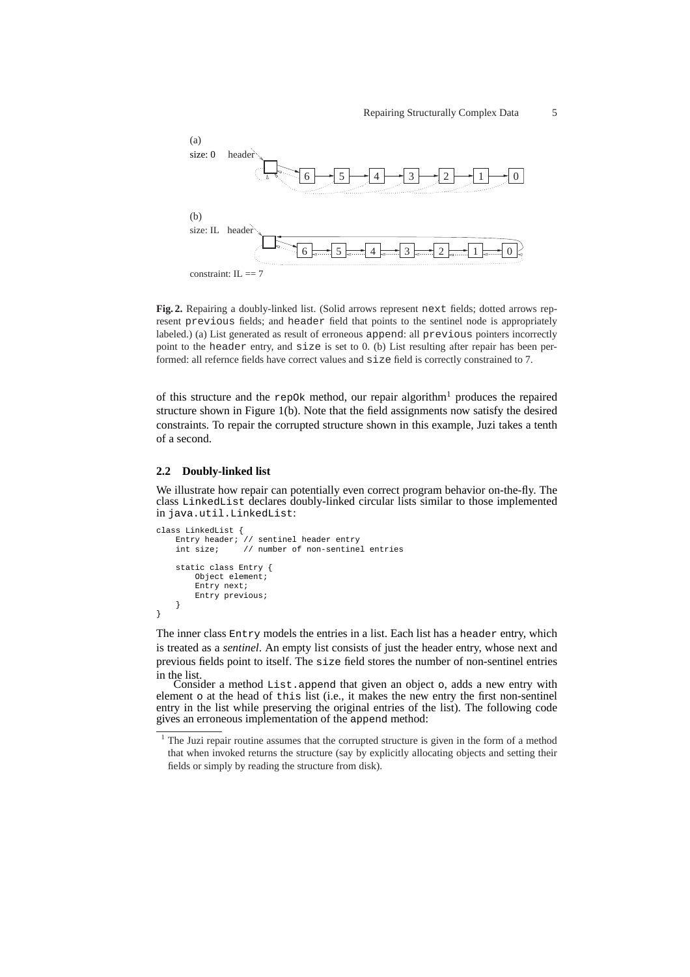

**Fig. 2.** Repairing a doubly-linked list. (Solid arrows represent next fields; dotted arrows represent previous fields; and header field that points to the sentinel node is appropriately labeled.) (a) List generated as result of erroneous append: all previous pointers incorrectly point to the header entry, and size is set to 0. (b) List resulting after repair has been performed: all refernce fields have correct values and size field is correctly constrained to 7.

of this structure and the repok method, our repair algorithm<sup>1</sup> produces the repaired structure shown in Figure 1(b). Note that the field assignments now satisfy the desired constraints. To repair the corrupted structure shown in this example, Juzi takes a tenth of a second.

#### **2.2 Doubly-linked list**

We illustrate how repair can potentially even correct program behavior on-the-fly. The class LinkedList declares doubly-linked circular lists similar to those implemented in java.util.LinkedList:

```
class LinkedList {
    Entry header; // sentinel header entry<br>int size; // number of non-sentine
                      // number of non-sentinel entries
    static class Entry {
         Object element;
          Entry next;
          Entry previous;
     }
}
```
The inner class Entry models the entries in a list. Each list has a header entry, which is treated as a *sentinel*. An empty list consists of just the header entry, whose next and previous fields point to itself. The size field stores the number of non-sentinel entries in the list.

Consider a method List.append that given an object o, adds a new entry with element o at the head of this list (i.e., it makes the new entry the first non-sentinel entry in the list while preserving the original entries of the list). The following code gives an erroneous implementation of the append method:

<sup>&</sup>lt;sup>1</sup> The Juzi repair routine assumes that the corrupted structure is given in the form of a method that when invoked returns the structure (say by explicitly allocating objects and setting their fields or simply by reading the structure from disk).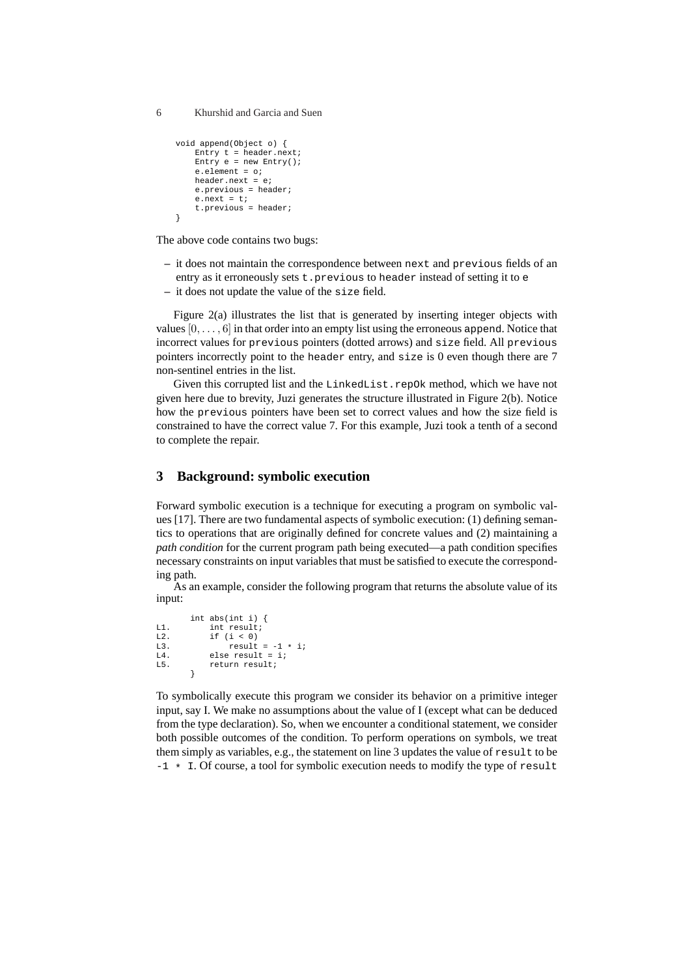```
void append(Object o) {
    Entry t = header.next;
    Entry e = new Entry();
    e.element = o;
   header.next = e;
    e.previous = header;
    e.next = t;
    t.previous = header;
}
```
The above code contains two bugs:

- **–** it does not maintain the correspondence between next and previous fields of an entry as it erroneously sets t.previous to header instead of setting it to e
- **–** it does not update the value of the size field.

Figure 2(a) illustrates the list that is generated by inserting integer objects with values  $[0, \ldots, 6]$  in that order into an empty list using the erroneous append. Notice that incorrect values for previous pointers (dotted arrows) and size field. All previous pointers incorrectly point to the header entry, and size is 0 even though there are 7 non-sentinel entries in the list.

Given this corrupted list and the LinkedList.repOk method, which we have not given here due to brevity, Juzi generates the structure illustrated in Figure 2(b). Notice how the previous pointers have been set to correct values and how the size field is constrained to have the correct value 7. For this example, Juzi took a tenth of a second to complete the repair.

## **3 Background: symbolic execution**

Forward symbolic execution is a technique for executing a program on symbolic values [17]. There are two fundamental aspects of symbolic execution: (1) defining semantics to operations that are originally defined for concrete values and (2) maintaining a *path condition* for the current program path being executed—a path condition specifies necessary constraints on input variables that must be satisfied to execute the corresponding path.

As an example, consider the following program that returns the absolute value of its input:

```
int abs(int i) {
L1. int result;
L2. if (i < 0)L3. result = -1 * i;
L4. else result = i;
L5. return result;
      }
```
To symbolically execute this program we consider its behavior on a primitive integer input, say I. We make no assumptions about the value of I (except what can be deduced from the type declaration). So, when we encounter a conditional statement, we consider both possible outcomes of the condition. To perform operations on symbols, we treat them simply as variables, e.g., the statement on line 3 updates the value of result to be  $-1 \cdot$  I. Of course, a tool for symbolic execution needs to modify the type of result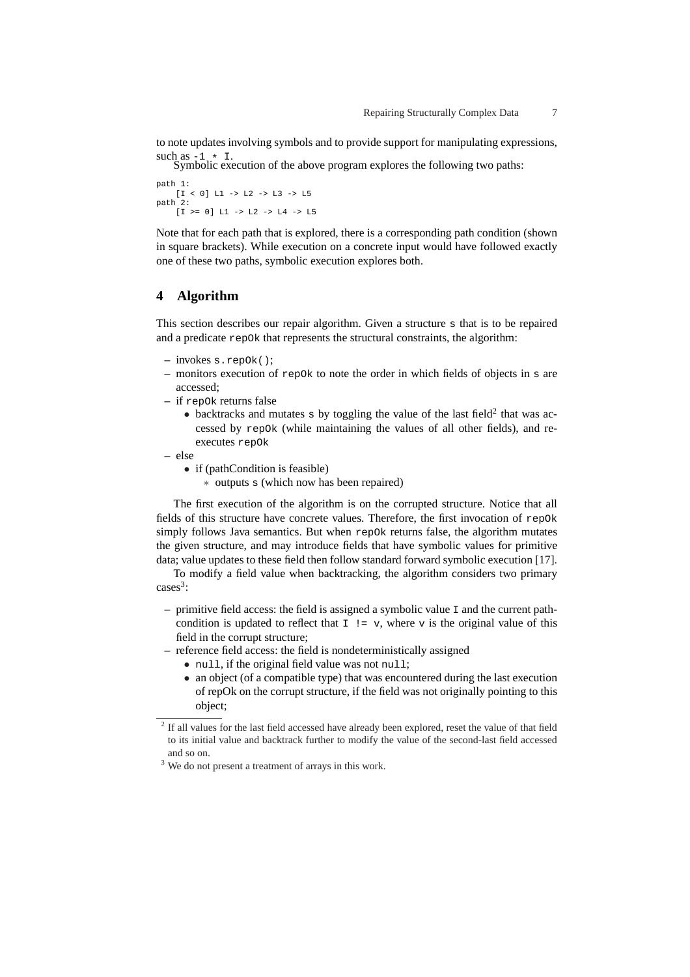to note updates involving symbols and to provide support for manipulating expressions, such as  $-1 \star I$ .

Symbolic execution of the above program explores the following two paths:

path 1:  $[I < 0]$  L1 -> L2 -> L3 -> L5 path 2: [I >= 0] L1 -> L2 -> L4 -> L5

Note that for each path that is explored, there is a corresponding path condition (shown in square brackets). While execution on a concrete input would have followed exactly one of these two paths, symbolic execution explores both.

### **4 Algorithm**

This section describes our repair algorithm. Given a structure s that is to be repaired and a predicate repOk that represents the structural constraints, the algorithm:

- **–** invokes s.repOk();
- **–** monitors execution of repOk to note the order in which fields of objects in s are accessed;
- **–** if repOk returns false
	- backtracks and mutates  $s$  by toggling the value of the last field<sup>2</sup> that was accessed by repOk (while maintaining the values of all other fields), and reexecutes repOk
- **–** else
	- if (pathCondition is feasible)
		- ∗ outputs s (which now has been repaired)

The first execution of the algorithm is on the corrupted structure. Notice that all fields of this structure have concrete values. Therefore, the first invocation of repOk simply follows Java semantics. But when repOk returns false, the algorithm mutates the given structure, and may introduce fields that have symbolic values for primitive data; value updates to these field then follow standard forward symbolic execution [17].

To modify a field value when backtracking, the algorithm considers two primary cases<sup>3</sup>:

- **–** primitive field access: the field is assigned a symbolic value I and the current pathcondition is updated to reflect that  $I := v$ , where v is the original value of this field in the corrupt structure;
- **–** reference field access: the field is nondeterministically assigned
	- null, if the original field value was not null;
	- an object (of a compatible type) that was encountered during the last execution of repOk on the corrupt structure, if the field was not originally pointing to this object;

 $2$  If all values for the last field accessed have already been explored, reset the value of that field to its initial value and backtrack further to modify the value of the second-last field accessed and so on.

<sup>&</sup>lt;sup>3</sup> We do not present a treatment of arrays in this work.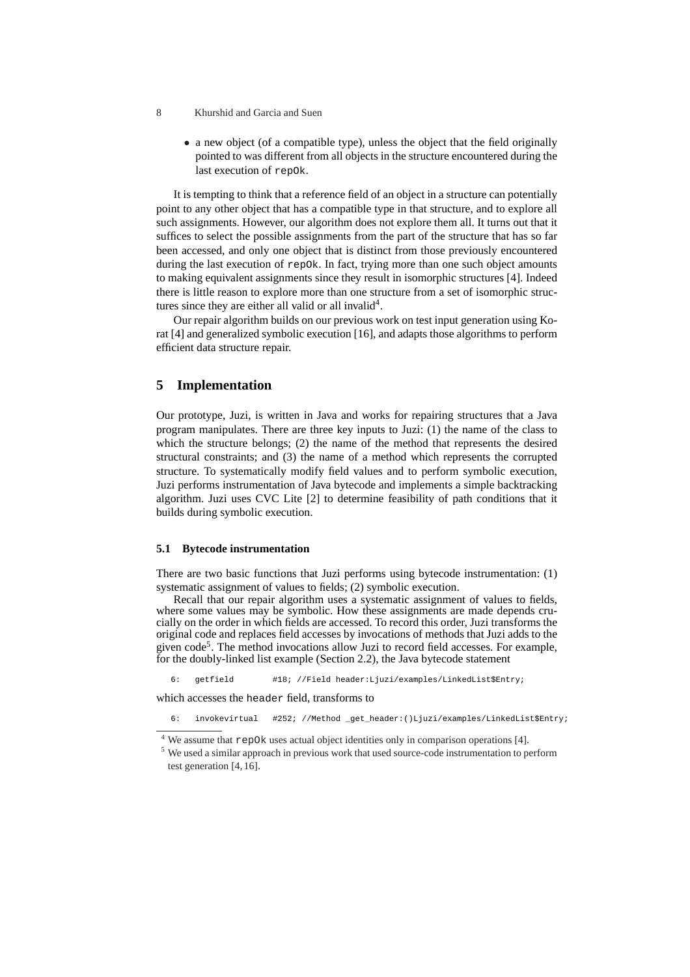- 8 Khurshid and Garcia and Suen
	- a new object (of a compatible type), unless the object that the field originally pointed to was different from all objects in the structure encountered during the last execution of repOk.

It is tempting to think that a reference field of an object in a structure can potentially point to any other object that has a compatible type in that structure, and to explore all such assignments. However, our algorithm does not explore them all. It turns out that it suffices to select the possible assignments from the part of the structure that has so far been accessed, and only one object that is distinct from those previously encountered during the last execution of repOk. In fact, trying more than one such object amounts to making equivalent assignments since they result in isomorphic structures [4]. Indeed there is little reason to explore more than one structure from a set of isomorphic structures since they are either all valid or all invalid<sup>4</sup>.

Our repair algorithm builds on our previous work on test input generation using Korat [4] and generalized symbolic execution [16], and adapts those algorithms to perform efficient data structure repair.

### **5 Implementation**

Our prototype, Juzi, is written in Java and works for repairing structures that a Java program manipulates. There are three key inputs to Juzi: (1) the name of the class to which the structure belongs; (2) the name of the method that represents the desired structural constraints; and (3) the name of a method which represents the corrupted structure. To systematically modify field values and to perform symbolic execution, Juzi performs instrumentation of Java bytecode and implements a simple backtracking algorithm. Juzi uses CVC Lite [2] to determine feasibility of path conditions that it builds during symbolic execution.

#### **5.1 Bytecode instrumentation**

There are two basic functions that Juzi performs using bytecode instrumentation: (1) systematic assignment of values to fields; (2) symbolic execution.

Recall that our repair algorithm uses a systematic assignment of values to fields, where some values may be symbolic. How these assignments are made depends crucially on the order in which fields are accessed. To record this order, Juzi transforms the original code and replaces field accesses by invocations of methods that Juzi adds to the given code<sup>5</sup>. The method invocations allow Juzi to record field accesses. For example, for the doubly-linked list example (Section 2.2), the Java bytecode statement

6: getfield #18; //Field header:Ljuzi/examples/LinkedList\$Entry;

which accesses the header field, transforms to

6: invokevirtual #252; //Method \_get\_header:()Ljuzi/examples/LinkedList\$Entry;

<sup>4</sup> We assume that repOk uses actual object identities only in comparison operations [4].

<sup>&</sup>lt;sup>5</sup> We used a similar approach in previous work that used source-code instrumentation to perform test generation [4, 16].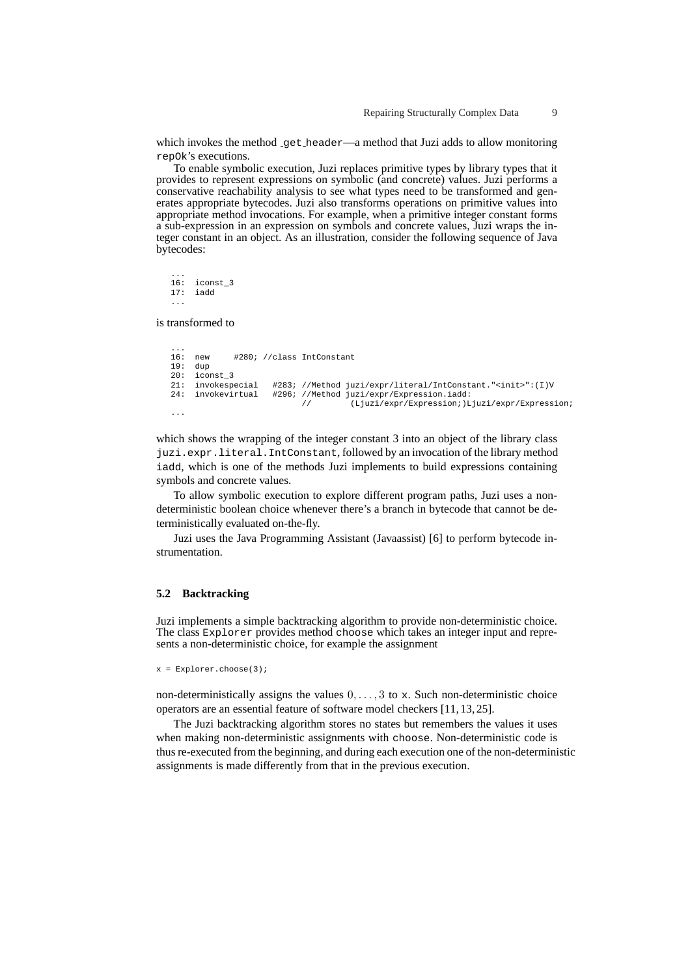which invokes the method get header—a method that Juzi adds to allow monitoring repOk's executions.

To enable symbolic execution, Juzi replaces primitive types by library types that it provides to represent expressions on symbolic (and concrete) values. Juzi performs a conservative reachability analysis to see what types need to be transformed and generates appropriate bytecodes. Juzi also transforms operations on primitive values into appropriate method invocations. For example, when a primitive integer constant forms a sub-expression in an expression on symbols and concrete values, Juzi wraps the integer constant in an object. As an illustration, consider the following sequence of Java bytecodes:

...  $16: iconst_3$ <br>17: iadd 17: iadd ...

is transformed to

```
...
16: new #280; //class IntConstant
19: dup
20: iconst_3<br>21: invokespecial
21: invokespecial #283; //Method juzi/expr/literal/IntConstant."<init>":(I)V<br>24: invokevirtual #296; //Method juzi/expr/Expression.iadd:
                              296; //Method juzi/expr/Expression.iadd:<br>// (Liuzi/expr/Expression.idd)
                                                     // (Ljuzi/expr/Expression;)Ljuzi/expr/Expression;
...
```
which shows the wrapping of the integer constant 3 into an object of the library class juzi.expr.literal.IntConstant, followed by an invocation of the library method iadd, which is one of the methods Juzi implements to build expressions containing symbols and concrete values.

To allow symbolic execution to explore different program paths, Juzi uses a nondeterministic boolean choice whenever there's a branch in bytecode that cannot be deterministically evaluated on-the-fly.

Juzi uses the Java Programming Assistant (Javaassist) [6] to perform bytecode instrumentation.

#### **5.2 Backtracking**

Juzi implements a simple backtracking algorithm to provide non-deterministic choice. The class Explorer provides method choose which takes an integer input and represents a non-deterministic choice, for example the assignment

```
x = Explorer.choose(3);
```
non-deterministically assigns the values  $0, \ldots, 3$  to x. Such non-deterministic choice operators are an essential feature of software model checkers [11, 13, 25].

The Juzi backtracking algorithm stores no states but remembers the values it uses when making non-deterministic assignments with choose. Non-deterministic code is thus re-executed from the beginning, and during each execution one of the non-deterministic assignments is made differently from that in the previous execution.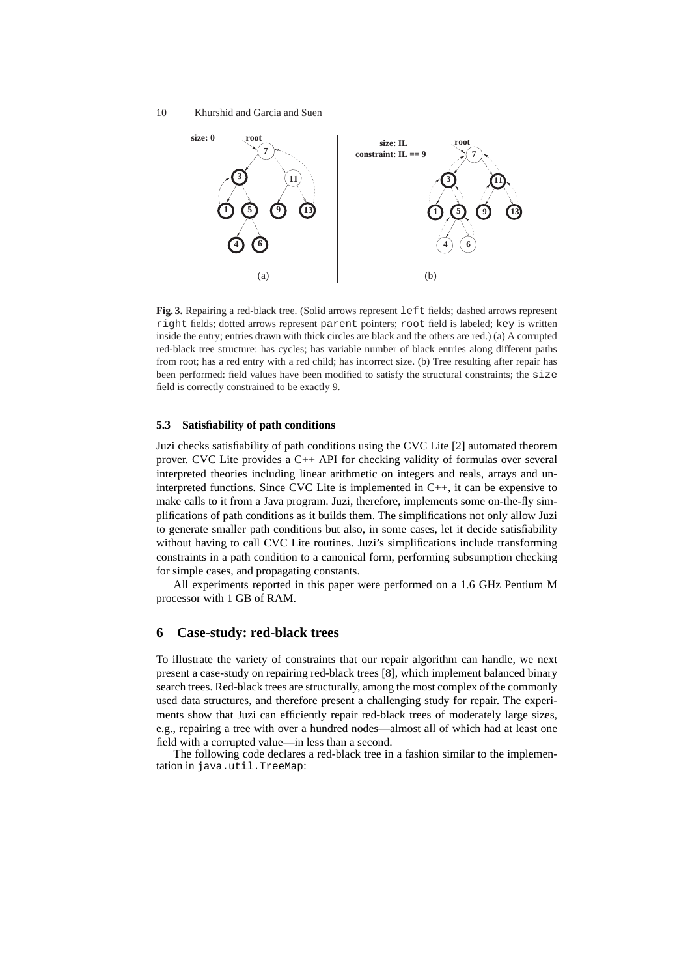

**Fig. 3.** Repairing a red-black tree. (Solid arrows represent left fields; dashed arrows represent right fields; dotted arrows represent parent pointers; root field is labeled; key is written inside the entry; entries drawn with thick circles are black and the others are red.) (a) A corrupted red-black tree structure: has cycles; has variable number of black entries along different paths from root; has a red entry with a red child; has incorrect size. (b) Tree resulting after repair has been performed: field values have been modified to satisfy the structural constraints; the size field is correctly constrained to be exactly 9.

### **5.3 Satisfiability of path conditions**

Juzi checks satisfiability of path conditions using the CVC Lite [2] automated theorem prover. CVC Lite provides a C++ API for checking validity of formulas over several interpreted theories including linear arithmetic on integers and reals, arrays and uninterpreted functions. Since CVC Lite is implemented in C++, it can be expensive to make calls to it from a Java program. Juzi, therefore, implements some on-the-fly simplifications of path conditions as it builds them. The simplifications not only allow Juzi to generate smaller path conditions but also, in some cases, let it decide satisfiability without having to call CVC Lite routines. Juzi's simplifications include transforming constraints in a path condition to a canonical form, performing subsumption checking for simple cases, and propagating constants.

All experiments reported in this paper were performed on a 1.6 GHz Pentium M processor with 1 GB of RAM.

### **6 Case-study: red-black trees**

To illustrate the variety of constraints that our repair algorithm can handle, we next present a case-study on repairing red-black trees [8], which implement balanced binary search trees. Red-black trees are structurally, among the most complex of the commonly used data structures, and therefore present a challenging study for repair. The experiments show that Juzi can efficiently repair red-black trees of moderately large sizes, e.g., repairing a tree with over a hundred nodes—almost all of which had at least one field with a corrupted value—in less than a second.

The following code declares a red-black tree in a fashion similar to the implementation in java.util.TreeMap: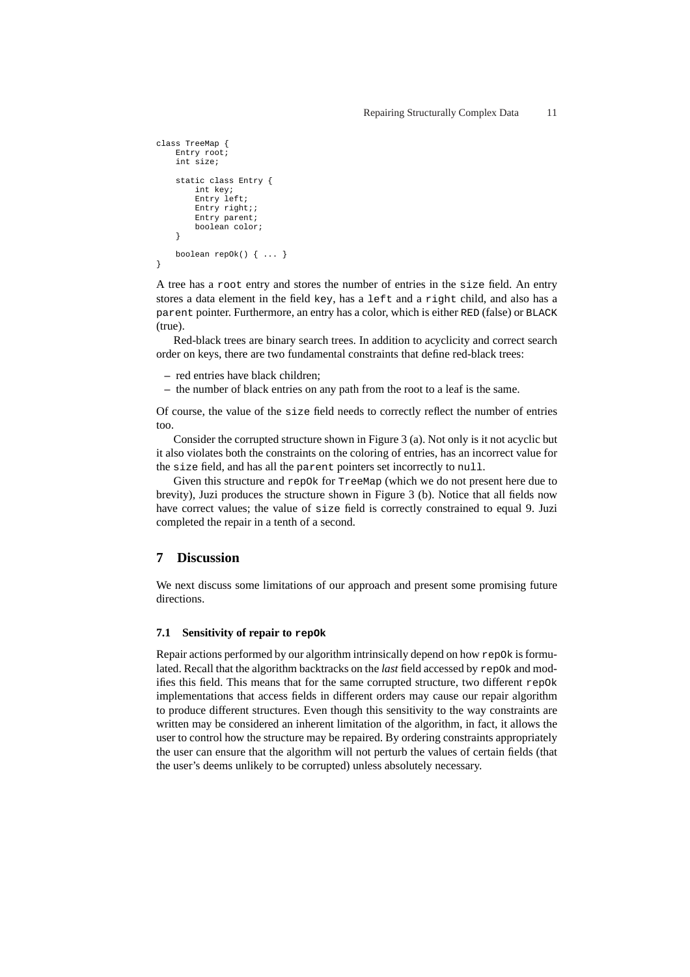```
class TreeMap {
    Entry root;
    int size;
    static class Entry {
        int key;
        Entry left;
        Entry right;;
        Entry parent;
        boolean color;
    }
    boolean repOk() { ... }
}
```
A tree has a root entry and stores the number of entries in the size field. An entry stores a data element in the field key, has a left and a right child, and also has a parent pointer. Furthermore, an entry has a color, which is either RED (false) or BLACK (true).

Red-black trees are binary search trees. In addition to acyclicity and correct search order on keys, there are two fundamental constraints that define red-black trees:

- **–** red entries have black children;
- **–** the number of black entries on any path from the root to a leaf is the same.

Of course, the value of the size field needs to correctly reflect the number of entries too.

Consider the corrupted structure shown in Figure 3 (a). Not only is it not acyclic but it also violates both the constraints on the coloring of entries, has an incorrect value for the size field, and has all the parent pointers set incorrectly to null.

Given this structure and repOk for TreeMap (which we do not present here due to brevity), Juzi produces the structure shown in Figure 3 (b). Notice that all fields now have correct values; the value of size field is correctly constrained to equal 9. Juzi completed the repair in a tenth of a second.

### **7 Discussion**

We next discuss some limitations of our approach and present some promising future directions.

### **7.1 Sensitivity of repair to repOk**

Repair actions performed by our algorithm intrinsically depend on how  $r = p0k$  is formulated. Recall that the algorithm backtracks on the *last* field accessed by repOk and modifies this field. This means that for the same corrupted structure, two different repOk implementations that access fields in different orders may cause our repair algorithm to produce different structures. Even though this sensitivity to the way constraints are written may be considered an inherent limitation of the algorithm, in fact, it allows the user to control how the structure may be repaired. By ordering constraints appropriately the user can ensure that the algorithm will not perturb the values of certain fields (that the user's deems unlikely to be corrupted) unless absolutely necessary.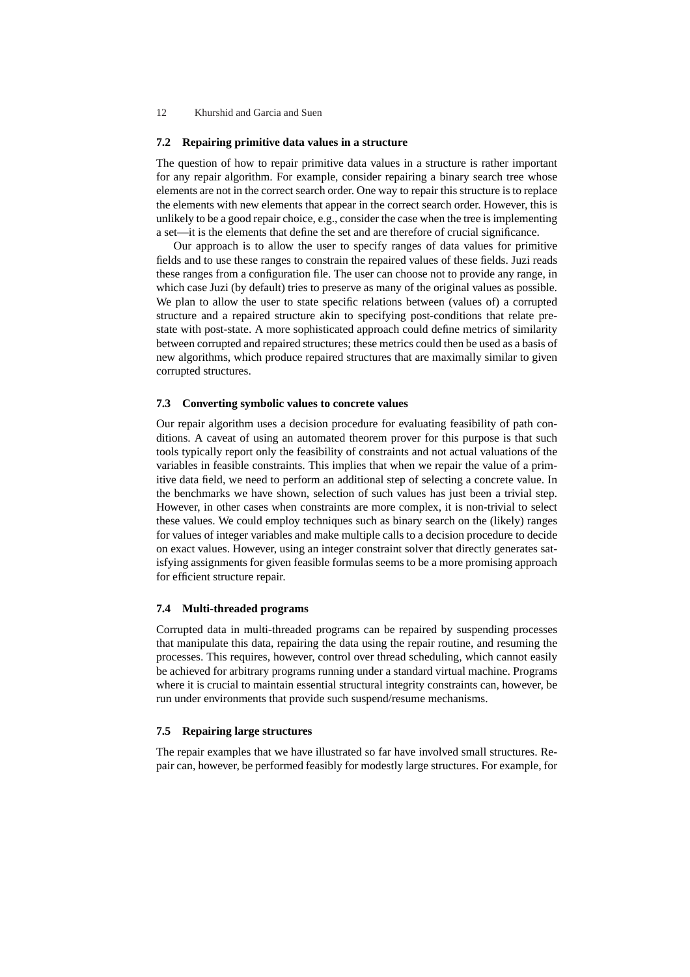### **7.2 Repairing primitive data values in a structure**

The question of how to repair primitive data values in a structure is rather important for any repair algorithm. For example, consider repairing a binary search tree whose elements are not in the correct search order. One way to repair this structure is to replace the elements with new elements that appear in the correct search order. However, this is unlikely to be a good repair choice, e.g., consider the case when the tree is implementing a set—it is the elements that define the set and are therefore of crucial significance.

Our approach is to allow the user to specify ranges of data values for primitive fields and to use these ranges to constrain the repaired values of these fields. Juzi reads these ranges from a configuration file. The user can choose not to provide any range, in which case Juzi (by default) tries to preserve as many of the original values as possible. We plan to allow the user to state specific relations between (values of) a corrupted structure and a repaired structure akin to specifying post-conditions that relate prestate with post-state. A more sophisticated approach could define metrics of similarity between corrupted and repaired structures; these metrics could then be used as a basis of new algorithms, which produce repaired structures that are maximally similar to given corrupted structures.

#### **7.3 Converting symbolic values to concrete values**

Our repair algorithm uses a decision procedure for evaluating feasibility of path conditions. A caveat of using an automated theorem prover for this purpose is that such tools typically report only the feasibility of constraints and not actual valuations of the variables in feasible constraints. This implies that when we repair the value of a primitive data field, we need to perform an additional step of selecting a concrete value. In the benchmarks we have shown, selection of such values has just been a trivial step. However, in other cases when constraints are more complex, it is non-trivial to select these values. We could employ techniques such as binary search on the (likely) ranges for values of integer variables and make multiple calls to a decision procedure to decide on exact values. However, using an integer constraint solver that directly generates satisfying assignments for given feasible formulas seems to be a more promising approach for efficient structure repair.

### **7.4 Multi-threaded programs**

Corrupted data in multi-threaded programs can be repaired by suspending processes that manipulate this data, repairing the data using the repair routine, and resuming the processes. This requires, however, control over thread scheduling, which cannot easily be achieved for arbitrary programs running under a standard virtual machine. Programs where it is crucial to maintain essential structural integrity constraints can, however, be run under environments that provide such suspend/resume mechanisms.

### **7.5 Repairing large structures**

The repair examples that we have illustrated so far have involved small structures. Repair can, however, be performed feasibly for modestly large structures. For example, for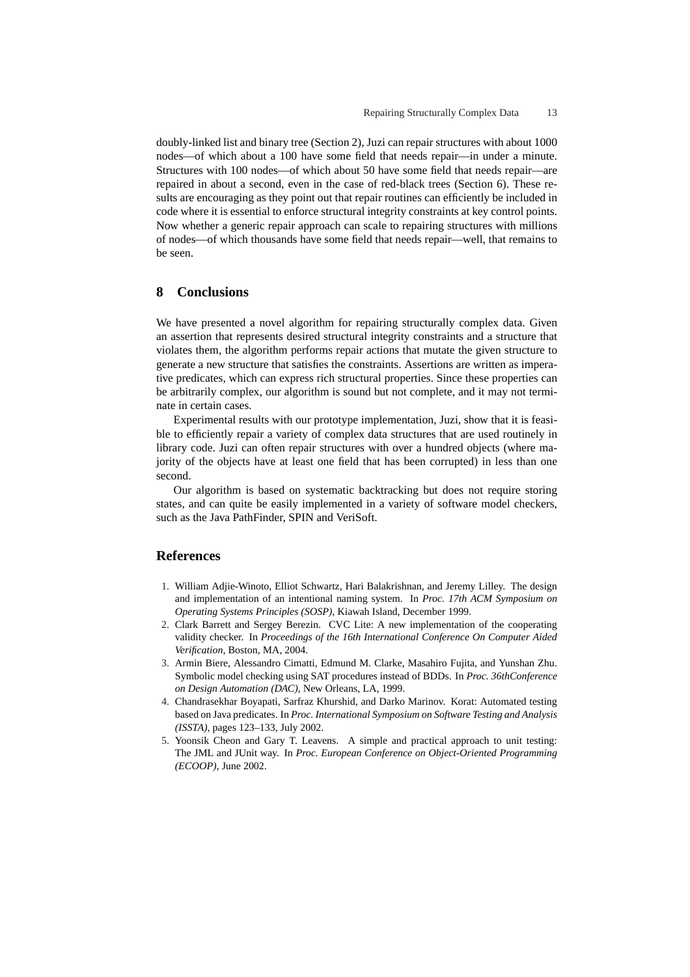doubly-linked list and binary tree (Section 2), Juzi can repair structures with about 1000 nodes—of which about a 100 have some field that needs repair—in under a minute. Structures with 100 nodes—of which about 50 have some field that needs repair—are repaired in about a second, even in the case of red-black trees (Section 6). These results are encouraging as they point out that repair routines can efficiently be included in code where it is essential to enforce structural integrity constraints at key control points. Now whether a generic repair approach can scale to repairing structures with millions of nodes—of which thousands have some field that needs repair—well, that remains to be seen.

### **8 Conclusions**

We have presented a novel algorithm for repairing structurally complex data. Given an assertion that represents desired structural integrity constraints and a structure that violates them, the algorithm performs repair actions that mutate the given structure to generate a new structure that satisfies the constraints. Assertions are written as imperative predicates, which can express rich structural properties. Since these properties can be arbitrarily complex, our algorithm is sound but not complete, and it may not terminate in certain cases.

Experimental results with our prototype implementation, Juzi, show that it is feasible to efficiently repair a variety of complex data structures that are used routinely in library code. Juzi can often repair structures with over a hundred objects (where majority of the objects have at least one field that has been corrupted) in less than one second.

Our algorithm is based on systematic backtracking but does not require storing states, and can quite be easily implemented in a variety of software model checkers, such as the Java PathFinder, SPIN and VeriSoft.

### **References**

- 1. William Adjie-Winoto, Elliot Schwartz, Hari Balakrishnan, and Jeremy Lilley. The design and implementation of an intentional naming system. In *Proc. 17th ACM Symposium on Operating Systems Principles (SOSP)*, Kiawah Island, December 1999.
- 2. Clark Barrett and Sergey Berezin. CVC Lite: A new implementation of the cooperating validity checker. In *Proceedings of the 16th International Conference On Computer Aided Verification*, Boston, MA, 2004.
- 3. Armin Biere, Alessandro Cimatti, Edmund M. Clarke, Masahiro Fujita, and Yunshan Zhu. Symbolic model checking using SAT procedures instead of BDDs. In *Proc. 36thConference on Design Automation (DAC)*, New Orleans, LA, 1999.
- 4. Chandrasekhar Boyapati, Sarfraz Khurshid, and Darko Marinov. Korat: Automated testing based on Java predicates. In *Proc. International Symposium on Software Testing and Analysis (ISSTA)*, pages 123–133, July 2002.
- 5. Yoonsik Cheon and Gary T. Leavens. A simple and practical approach to unit testing: The JML and JUnit way. In *Proc. European Conference on Object-Oriented Programming (ECOOP)*, June 2002.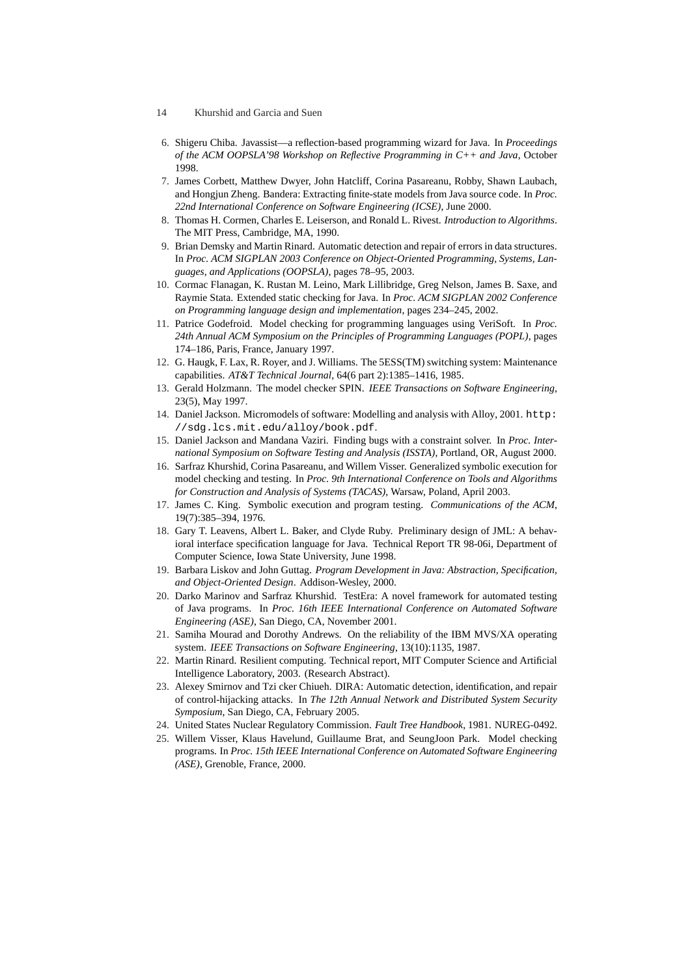- 14 Khurshid and Garcia and Suen
- 6. Shigeru Chiba. Javassist—a reflection-based programming wizard for Java. In *Proceedings of the ACM OOPSLA'98 Workshop on Reflective Programming in C++ and Java*, October 1998.
- 7. James Corbett, Matthew Dwyer, John Hatcliff, Corina Pasareanu, Robby, Shawn Laubach, and Hongjun Zheng. Bandera: Extracting finite-state models from Java source code. In *Proc. 22nd International Conference on Software Engineering (ICSE)*, June 2000.
- 8. Thomas H. Cormen, Charles E. Leiserson, and Ronald L. Rivest. *Introduction to Algorithms*. The MIT Press, Cambridge, MA, 1990.
- 9. Brian Demsky and Martin Rinard. Automatic detection and repair of errors in data structures. In *Proc. ACM SIGPLAN 2003 Conference on Object-Oriented Programming, Systems, Languages, and Applications (OOPSLA)*, pages 78–95, 2003.
- 10. Cormac Flanagan, K. Rustan M. Leino, Mark Lillibridge, Greg Nelson, James B. Saxe, and Raymie Stata. Extended static checking for Java. In *Proc. ACM SIGPLAN 2002 Conference on Programming language design and implementation*, pages 234–245, 2002.
- 11. Patrice Godefroid. Model checking for programming languages using VeriSoft. In *Proc. 24th Annual ACM Symposium on the Principles of Programming Languages (POPL)*, pages 174–186, Paris, France, January 1997.
- 12. G. Haugk, F. Lax, R. Royer, and J. Williams. The 5ESS(TM) switching system: Maintenance capabilities. *AT&T Technical Journal*, 64(6 part 2):1385–1416, 1985.
- 13. Gerald Holzmann. The model checker SPIN. *IEEE Transactions on Software Engineering*, 23(5), May 1997.
- 14. Daniel Jackson. Micromodels of software: Modelling and analysis with Alloy, 2001. http: //sdg.lcs.mit.edu/alloy/book.pdf.
- 15. Daniel Jackson and Mandana Vaziri. Finding bugs with a constraint solver. In *Proc. International Symposium on Software Testing and Analysis (ISSTA)*, Portland, OR, August 2000.
- 16. Sarfraz Khurshid, Corina Pasareanu, and Willem Visser. Generalized symbolic execution for model checking and testing. In *Proc. 9th International Conference on Tools and Algorithms for Construction and Analysis of Systems (TACAS)*, Warsaw, Poland, April 2003.
- 17. James C. King. Symbolic execution and program testing. *Communications of the ACM*, 19(7):385–394, 1976.
- 18. Gary T. Leavens, Albert L. Baker, and Clyde Ruby. Preliminary design of JML: A behavioral interface specification language for Java. Technical Report TR 98-06i, Department of Computer Science, Iowa State University, June 1998.
- 19. Barbara Liskov and John Guttag. *Program Development in Java: Abstraction, Specification, and Object-Oriented Design*. Addison-Wesley, 2000.
- 20. Darko Marinov and Sarfraz Khurshid. TestEra: A novel framework for automated testing of Java programs. In *Proc. 16th IEEE International Conference on Automated Software Engineering (ASE)*, San Diego, CA, November 2001.
- 21. Samiha Mourad and Dorothy Andrews. On the reliability of the IBM MVS/XA operating system. *IEEE Transactions on Software Engineering*, 13(10):1135, 1987.
- 22. Martin Rinard. Resilient computing. Technical report, MIT Computer Science and Artificial Intelligence Laboratory, 2003. (Research Abstract).
- 23. Alexey Smirnov and Tzi cker Chiueh. DIRA: Automatic detection, identification, and repair of control-hijacking attacks. In *The 12th Annual Network and Distributed System Security Symposium*, San Diego, CA, February 2005.
- 24. United States Nuclear Regulatory Commission. *Fault Tree Handbook*, 1981. NUREG-0492.
- 25. Willem Visser, Klaus Havelund, Guillaume Brat, and SeungJoon Park. Model checking programs. In *Proc. 15th IEEE International Conference on Automated Software Engineering (ASE)*, Grenoble, France, 2000.